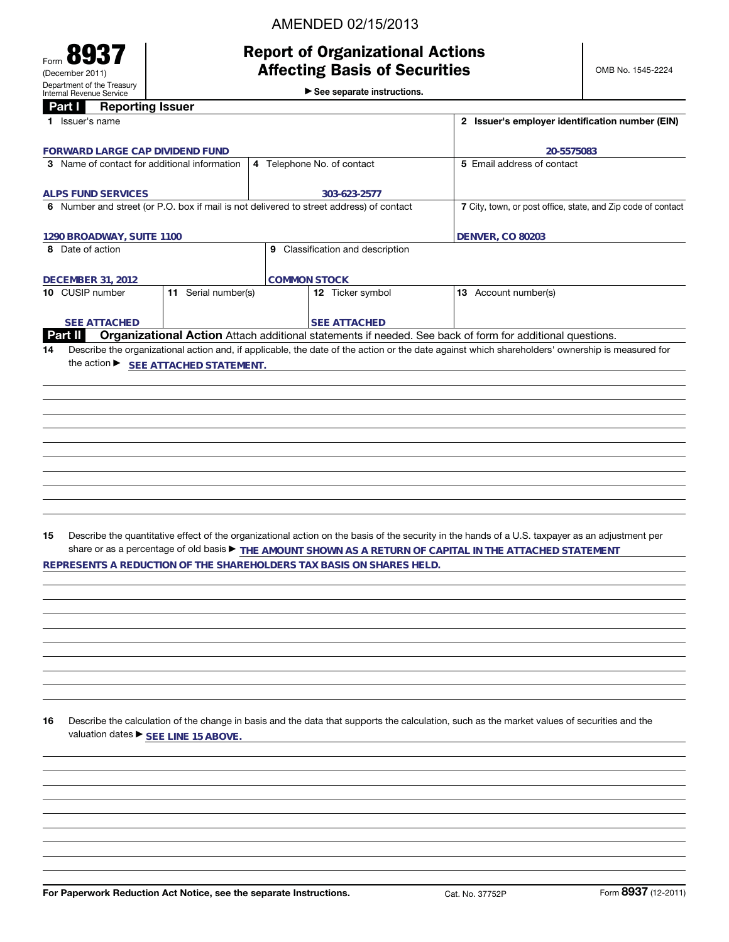# AMENDED 02/15/2013

# **Report of Organizational Actions**

OMB No. 1545-2224

►<br>► See separate instructions.

# **Part I Reporting Issuer**

Form **8937** (December 2011)

Department of the Treasury Internal Revenue Service

|    | 1 Issuer's name                               |                     |                                                                                         | 2 Issuer's employer identification number (EIN)                                                                                                                                                                                                                                  |
|----|-----------------------------------------------|---------------------|-----------------------------------------------------------------------------------------|----------------------------------------------------------------------------------------------------------------------------------------------------------------------------------------------------------------------------------------------------------------------------------|
|    | FORWARD LARGE CAP DIVIDEND FUND               |                     |                                                                                         | 20-5575083                                                                                                                                                                                                                                                                       |
|    | 3 Name of contact for additional information  |                     | 4 Telephone No. of contact                                                              | 5 Email address of contact                                                                                                                                                                                                                                                       |
|    |                                               |                     |                                                                                         |                                                                                                                                                                                                                                                                                  |
|    | <b>ALPS FUND SERVICES</b>                     |                     | 303-623-2577                                                                            |                                                                                                                                                                                                                                                                                  |
|    |                                               |                     | 6 Number and street (or P.O. box if mail is not delivered to street address) of contact | 7 City, town, or post office, state, and Zip code of contact                                                                                                                                                                                                                     |
|    |                                               |                     |                                                                                         | <b>DENVER, CO 80203</b>                                                                                                                                                                                                                                                          |
|    | 1290 BROADWAY, SUITE 1100<br>8 Date of action |                     | 9 Classification and description                                                        |                                                                                                                                                                                                                                                                                  |
|    |                                               |                     |                                                                                         |                                                                                                                                                                                                                                                                                  |
|    | <b>DECEMBER 31, 2012</b>                      |                     | <b>COMMON STOCK</b>                                                                     |                                                                                                                                                                                                                                                                                  |
|    | 10 CUSIP number                               | 11 Serial number(s) | 12 Ticker symbol                                                                        | 13 Account number(s)                                                                                                                                                                                                                                                             |
|    |                                               |                     |                                                                                         |                                                                                                                                                                                                                                                                                  |
|    | <b>SEE ATTACHED</b>                           |                     | <b>SEE ATTACHED</b>                                                                     |                                                                                                                                                                                                                                                                                  |
| 14 | Part II                                       |                     |                                                                                         | Organizational Action Attach additional statements if needed. See back of form for additional questions.<br>Describe the organizational action and, if applicable, the date of the action or the date against which shareholders' ownership is measured for                      |
|    | the action SEE ATTACHED STATEMENT.            |                     |                                                                                         |                                                                                                                                                                                                                                                                                  |
|    |                                               |                     |                                                                                         |                                                                                                                                                                                                                                                                                  |
|    |                                               |                     |                                                                                         |                                                                                                                                                                                                                                                                                  |
|    |                                               |                     |                                                                                         |                                                                                                                                                                                                                                                                                  |
|    |                                               |                     |                                                                                         |                                                                                                                                                                                                                                                                                  |
|    |                                               |                     |                                                                                         |                                                                                                                                                                                                                                                                                  |
|    |                                               |                     |                                                                                         |                                                                                                                                                                                                                                                                                  |
|    |                                               |                     |                                                                                         |                                                                                                                                                                                                                                                                                  |
|    |                                               |                     |                                                                                         |                                                                                                                                                                                                                                                                                  |
|    |                                               |                     |                                                                                         |                                                                                                                                                                                                                                                                                  |
|    |                                               |                     |                                                                                         |                                                                                                                                                                                                                                                                                  |
| 15 |                                               |                     |                                                                                         | Describe the quantitative effect of the organizational action on the basis of the security in the hands of a U.S. taxpayer as an adjustment per<br>share or as a percentage of old basis $\blacktriangleright$ THE AMOUNT SHOWN AS A RETURN OF CAPITAL IN THE ATTACHED STATEMENT |
|    |                                               |                     | REPRESENTS A REDUCTION OF THE SHAREHOLDERS TAX BASIS ON SHARES HELD.                    |                                                                                                                                                                                                                                                                                  |
|    |                                               |                     |                                                                                         |                                                                                                                                                                                                                                                                                  |
|    |                                               |                     |                                                                                         |                                                                                                                                                                                                                                                                                  |
|    |                                               |                     |                                                                                         |                                                                                                                                                                                                                                                                                  |
|    |                                               |                     |                                                                                         |                                                                                                                                                                                                                                                                                  |
|    |                                               |                     |                                                                                         |                                                                                                                                                                                                                                                                                  |
|    |                                               |                     |                                                                                         |                                                                                                                                                                                                                                                                                  |
|    |                                               |                     |                                                                                         |                                                                                                                                                                                                                                                                                  |
|    |                                               |                     |                                                                                         |                                                                                                                                                                                                                                                                                  |
|    |                                               |                     |                                                                                         |                                                                                                                                                                                                                                                                                  |
| 16 | valuation dates ▶ SEE LINE 15 ABOVE.          |                     |                                                                                         | Describe the calculation of the change in basis and the data that supports the calculation, such as the market values of securities and the                                                                                                                                      |
|    |                                               |                     |                                                                                         |                                                                                                                                                                                                                                                                                  |
|    |                                               |                     |                                                                                         |                                                                                                                                                                                                                                                                                  |
|    |                                               |                     |                                                                                         |                                                                                                                                                                                                                                                                                  |
|    |                                               |                     |                                                                                         |                                                                                                                                                                                                                                                                                  |
|    |                                               |                     |                                                                                         |                                                                                                                                                                                                                                                                                  |
|    |                                               |                     |                                                                                         |                                                                                                                                                                                                                                                                                  |
|    |                                               |                     |                                                                                         |                                                                                                                                                                                                                                                                                  |
|    |                                               |                     |                                                                                         |                                                                                                                                                                                                                                                                                  |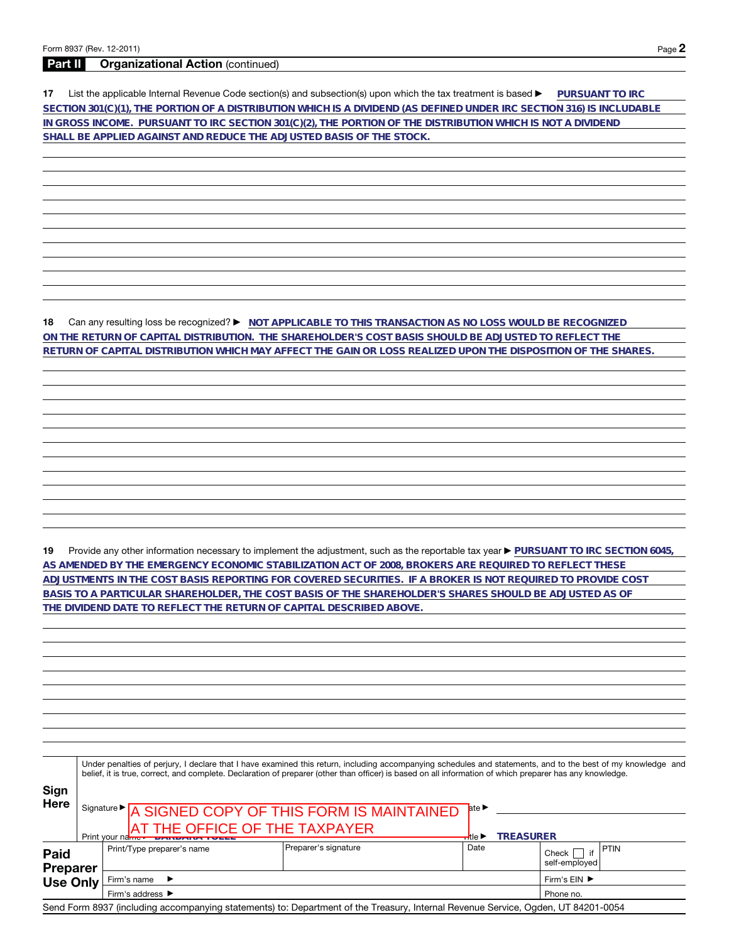## **Part II Organizational Action** (continued)

**17** List the applicable Internal Revenue Code section(s) and subsection(s) upon which the tax treatment is based a **PURSUANT TO IRC SECTION 301(C)(1), THE PORTION OF A DISTRIBUTION WHICH IS A DIVIDEND (AS DEFINED UNDER IRC SECTION 316) IS INCLUDABLE IN GROSS INCOME. PURSUANT TO IRC SECTION 301(C)(2), THE PORTION OF THE DISTRIBUTION WHICH IS NOT A DIVIDEND SHALL BE APPLIED AGAINST AND REDUCE THE ADJUSTED BASIS OF THE STOCK.**

**18** Can any resulting loss be recognized? ▶ NOT APPLICABLE TO THIS TRANSACTION AS NO LOSS WOULD BE RECOGNIZED **ON THE RETURN OF CAPITAL DISTRIBUTION. THE SHAREHOLDER'S COST BASIS SHOULD BE ADJUSTED TO REFLECT THE RETURN OF CAPITAL DISTRIBUTION WHICH MAY AFFECT THE GAIN OR LOSS REALIZED UPON THE DISPOSITION OF THE SHARES.**

19 Provide any other information necessary to implement the adjustment, such as the reportable tax year **PURSUANT TO IRC SECTION 6045**, **AS AMENDED BY THE EMERGENCY ECONOMIC STABILIZATION ACT OF 2008, BROKERS ARE REQUIRED TO REFLECT THESE ADJUSTMENTS IN THE COST BASIS REPORTING FOR COVERED SECURITIES. IF A BROKER IS NOT REQUIRED TO PROVIDE COST BASIS TO A PARTICULAR SHAREHOLDER, THE COST BASIS OF THE SHAREHOLDER'S SHARES SHOULD BE ADJUSTED AS OF THE DIVIDEND DATE TO REFLECT THE RETURN OF CAPITAL DESCRIBED ABOVE.**

|                                |                                                                                                    | Under penalties of perjury, I declare that I have examined this return, including accompanying schedules and statements, and to the best of my knowledge and<br>belief, it is true, correct, and complete. Declaration of preparer (other than officer) is based on all information of which preparer has any knowledge. |      |                        |             |
|--------------------------------|----------------------------------------------------------------------------------------------------|--------------------------------------------------------------------------------------------------------------------------------------------------------------------------------------------------------------------------------------------------------------------------------------------------------------------------|------|------------------------|-------------|
| Sign<br>Here                   | Signature > A SIGNED COPY OF THIS FORM IS MAINTAINED<br>Print your name F PANDANCE OF THE TAXPAYER | ate $\blacktriangleright$<br><b>TREASURER</b><br><del>⊣l</del> tle ▶                                                                                                                                                                                                                                                     |      |                        |             |
| <b>Paid</b><br><b>Preparer</b> | Print/Type preparer's name                                                                         | Preparer's signature                                                                                                                                                                                                                                                                                                     | Date | Check<br>self-emploved | <b>PTIN</b> |
| <b>Use Only</b>                | Firm's name                                                                                        | Firm's $EIN$ $\blacktriangleright$                                                                                                                                                                                                                                                                                       |      |                        |             |
|                                | Firm's address ▶                                                                                   |                                                                                                                                                                                                                                                                                                                          |      |                        |             |
|                                |                                                                                                    | Send Form 8937 (including accompanying statements) to: Department of the Treasury, Internal Revenue Service, Ogden, UT 84201-0054                                                                                                                                                                                        |      |                        |             |